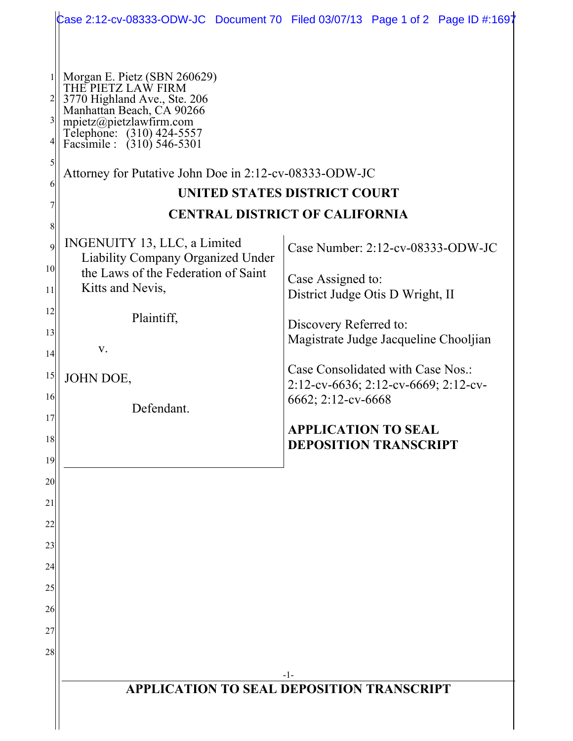|                                                                                                                                                                                                                                                                                                                                                                                                                                                                                                                                                                       | Case 2:12-cv-08333-ODW-JC Document 70 Filed 03/07/13 Page 1 of 2 Page ID #:1697                                                                                                                                                                                                                                                           |
|-----------------------------------------------------------------------------------------------------------------------------------------------------------------------------------------------------------------------------------------------------------------------------------------------------------------------------------------------------------------------------------------------------------------------------------------------------------------------------------------------------------------------------------------------------------------------|-------------------------------------------------------------------------------------------------------------------------------------------------------------------------------------------------------------------------------------------------------------------------------------------------------------------------------------------|
| Morgan E. Pietz (SBN 260629)<br>THE PIETZ LAW FIRM<br>3770 Highland Ave., Ste. 206<br>Manhattan Beach, CA 90266<br>$3\vert$<br>mpietz@pietzlawfirm.com<br>Telephone: (310) 424-5557<br>Facsimile : (310) 546-5301<br>4 <br>5<br>Attorney for Putative John Doe in 2:12-cv-08333-ODW-JC<br>6<br>8<br>INGENUITY 13, LLC, a Limited<br>$\mathfrak{g}$<br><b>Liability Company Organized Under</b><br>10 <sup>1</sup><br>the Laws of the Federation of Saint<br>Kitts and Nevis,<br>11<br>12<br>Plaintiff,<br>13<br>V.<br>14<br>15<br>JOHN DOE,<br>16<br>Defendant.<br>17 | UNITED STATES DISTRICT COURT<br><b>CENTRAL DISTRICT OF CALIFORNIA</b><br>Case Number: 2:12-cv-08333-ODW-JC<br>Case Assigned to:<br>District Judge Otis D Wright, II<br>Discovery Referred to:<br>Magistrate Judge Jacqueline Chooljian<br>Case Consolidated with Case Nos.:<br>2:12-cv-6636; 2:12-cv-6669; 2:12-cv-<br>6662; 2:12-cv-6668 |
| 18<br>19                                                                                                                                                                                                                                                                                                                                                                                                                                                                                                                                                              | <b>APPLICATION TO SEAL</b><br><b>DEPOSITION TRANSCRIPT</b>                                                                                                                                                                                                                                                                                |
| 20<br>21<br>22                                                                                                                                                                                                                                                                                                                                                                                                                                                                                                                                                        |                                                                                                                                                                                                                                                                                                                                           |
| 23<br>24<br>25                                                                                                                                                                                                                                                                                                                                                                                                                                                                                                                                                        |                                                                                                                                                                                                                                                                                                                                           |
| 26<br>27<br>28                                                                                                                                                                                                                                                                                                                                                                                                                                                                                                                                                        |                                                                                                                                                                                                                                                                                                                                           |
| $-1-$<br><b>APPLICATION TO SEAL DEPOSITION TRANSCRIPT</b>                                                                                                                                                                                                                                                                                                                                                                                                                                                                                                             |                                                                                                                                                                                                                                                                                                                                           |